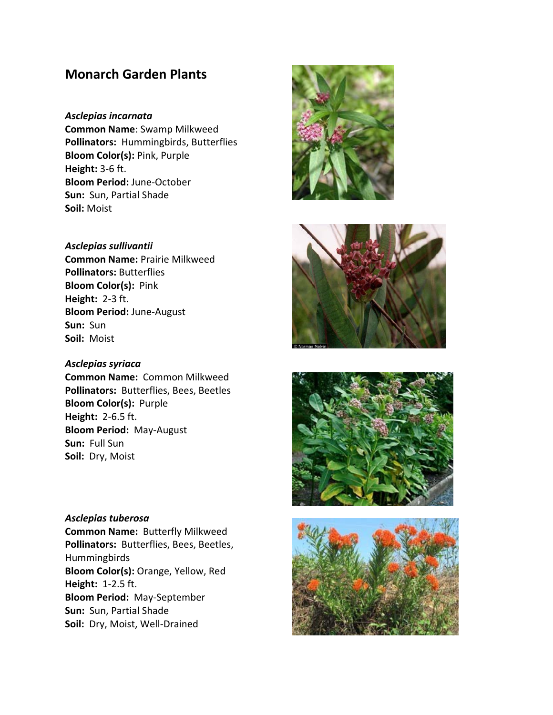# **Monarch Garden Plants**

*Asclepias incarnata* **Common Name**: Swamp Milkweed **Pollinators:** Hummingbirds, Butterflies **Bloom Color(s):** Pink, Purple **Height:** 3‐6 ft. **Bloom Period:** June‐October **Sun:** Sun, Partial Shade **Soil:** Moist

*Asclepias sullivantii* **Common Name:** Prairie Milkweed **Pollinators:** Butterflies **Bloom Color(s):** Pink **Height:** 2‐3 ft. **Bloom Period:** June‐August **Sun:** Sun **Soil:** Moist

*Asclepias syriaca* **Common Name:** Common Milkweed **Pollinators:** Butterflies, Bees, Beetles **Bloom Color(s):** Purple **Height:** 2‐6.5 ft. **Bloom Period:** May‐August **Sun:** Full Sun

**Soil:** Dry, Moist

*Asclepias tuberosa* **Common Name:** Butterfly Milkweed **Pollinators:** Butterflies, Bees, Beetles, **Hummingbirds Bloom Color(s):** Orange, Yellow, Red **Height:** 1‐2.5 ft. **Bloom Period:** May‐September **Sun:** Sun, Partial Shade **Soil:** Dry, Moist, Well‐Drained







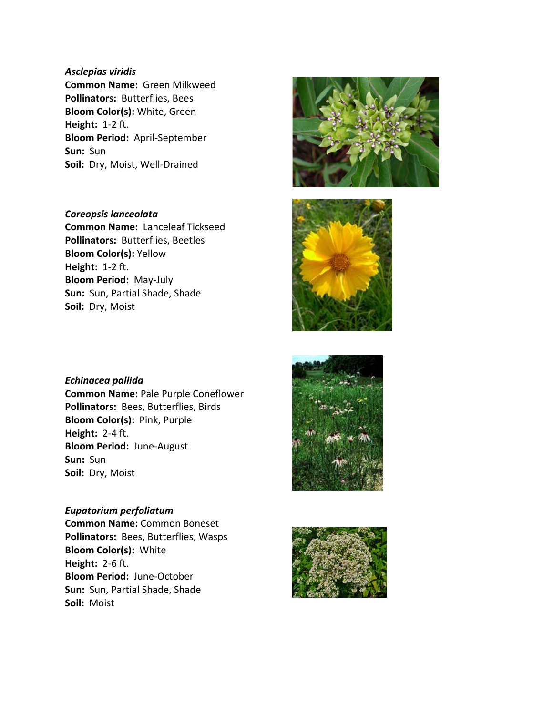#### *Asclepias viridis*

**Common Name:** Green Milkweed **Pollinators:** Butterflies, Bees **Bloom Color(s):** White, Green **Height:** 1‐2 ft. **Bloom Period:** April‐September **Sun:** Sun **Soil:** Dry, Moist, Well‐Drained

*Coreopsis lanceolata* **Common Name:** Lanceleaf Tickseed **Pollinators:** Butterflies, Beetles **Bloom Color(s):** Yellow **Height:** 1‐2 ft. **Bloom Period:** May‐July **Sun:** Sun, Partial Shade, Shade **Soil:** Dry, Moist





*Echinacea pallida* **Common Name:** Pale Purple Coneflower **Pollinators:** Bees, Butterflies, Birds **Bloom Color(s):** Pink, Purple **Height:** 2‐4 ft. **Bloom Period:** June‐August **Sun:** Sun **Soil:** Dry, Moist

### *Eupatorium perfoliatum*

**Common Name:** Common Boneset **Pollinators:** Bees, Butterflies, Wasps **Bloom Color(s):** White **Height:** 2‐6 ft. **Bloom Period:** June‐October **Sun:** Sun, Partial Shade, Shade **Soil:** Moist



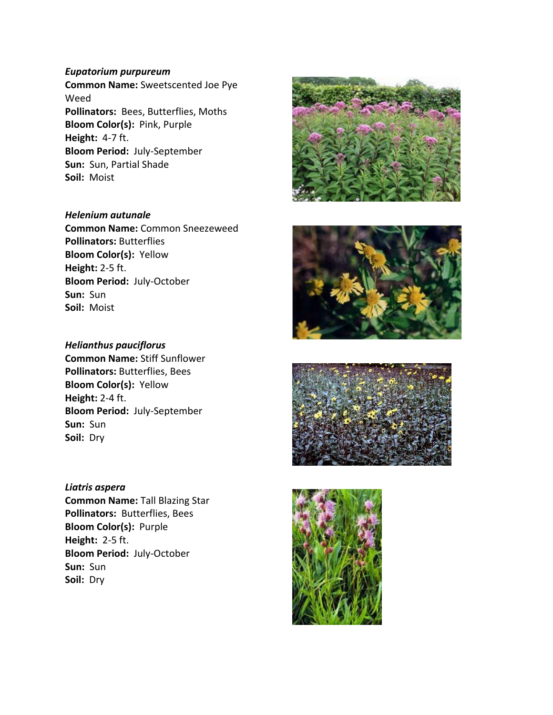#### *Eupatorium purpureum*

**Common Name:** Sweetscented Joe Pye Weed **Pollinators:** Bees, Butterflies, Moths **Bloom Color(s):** Pink, Purple **Height:** 4‐7 ft. **Bloom Period:** July‐September **Sun:** Sun, Partial Shade **Soil:** Moist

*Helenium autunale* **Common Name:** Common Sneezeweed **Pollinators:** Butterflies **Bloom Color(s):** Yellow **Height:** 2‐5 ft. **Bloom Period:** July‐October **Sun:** Sun **Soil:** Moist

*Helianthus pauciflorus* **Common Name:** Stiff Sunflower **Pollinators:** Butterflies, Bees **Bloom Color(s):** Yellow **Height:** 2‐4 ft. **Bloom Period:** July‐September **Sun:** Sun **Soil:** Dry

#### *Liatris aspera*

**Common Name:** Tall Blazing Star **Pollinators:** Butterflies, Bees **Bloom Color(s):** Purple **Height:** 2‐5 ft. **Bloom Period:** July‐October **Sun:** Sun **Soil:** Dry







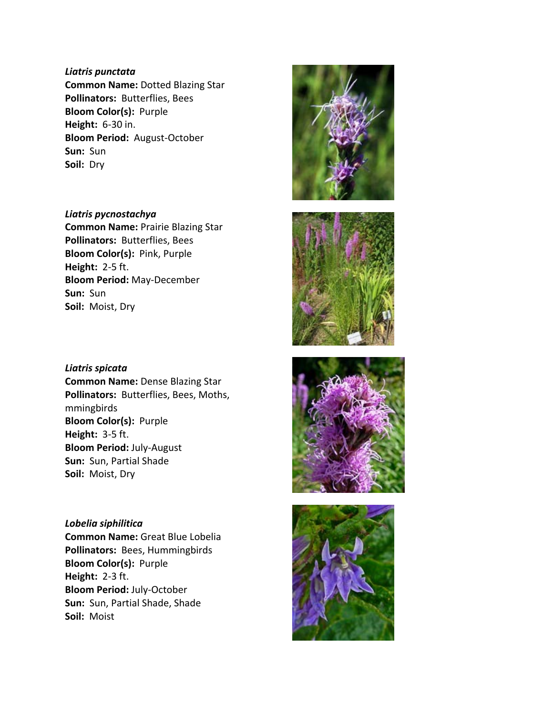#### *Liatris punctata*

**Common Name:** Dotted Blazing Star **Pollinators:** Butterflies, Bees **Bloom Color(s):** Purple **Height:** 6‐30 in. **Bloom Period:** August‐October **Sun:** Sun **Soil:** Dry

*Liatris pycnostachya* **Common Name:** Prairie Blazing Star **Pollinators:** Butterflies, Bees **Bloom Color(s):** Pink, Purple **Height:** 2‐5 ft. **Bloom Period:** May‐December **Sun:** Sun **Soil:** Moist, Dry

*Liatris spicata* **Common Name:** Dense Blazing Star **Pollinators:** Butterflies, Bees, Moths, mmingbirds **Bloom Color(s):** Purple **Height:** 3‐5 ft. **Bloom Period:** July‐August **Sun:** Sun, Partial Shade **Soil:** Moist, Dry

*Lobelia siphilitica* **Common Name:** Great Blue Lobelia **Pollinators:** Bees, Hummingbirds **Bloom Color(s):** Purple **Height:** 2‐3 ft. **Bloom Period:** July‐October **Sun:** Sun, Partial Shade, Shade **Soil:** Moist







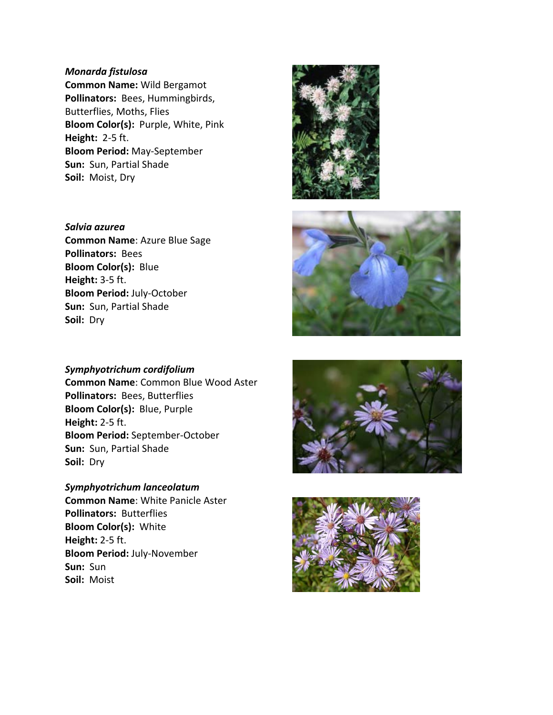#### *Monarda fistulosa*

**Common Name:** Wild Bergamot **Pollinators:** Bees, Hummingbirds, Butterflies, Moths, Flies **Bloom Color(s):** Purple, White, Pink **Height:** 2‐5 ft. **Bloom Period:** May‐September **Sun:** Sun, Partial Shade **Soil:** Moist, Dry

*Salvia azurea* **Common Name**: Azure Blue Sage **Pollinators:** Bees **Bloom Color(s):** Blue **Height:** 3‐5 ft. **Bloom Period:** July‐October **Sun:** Sun, Partial Shade **Soil:** Dry

#### *Symphyotrichum cordifolium*

**Common Name**: Common Blue Wood Aster **Pollinators:** Bees, Butterflies **Bloom Color(s):** Blue, Purple **Height:** 2‐5 ft. **Bloom Period:** September‐October **Sun:** Sun, Partial Shade **Soil:** Dry

*Symphyotrichum lanceolatum* **Common Name**: White Panicle Aster **Pollinators:** Butterflies **Bloom Color(s):** White **Height:** 2‐5 ft. **Bloom Period:** July‐November **Sun:** Sun **Soil:** Moist